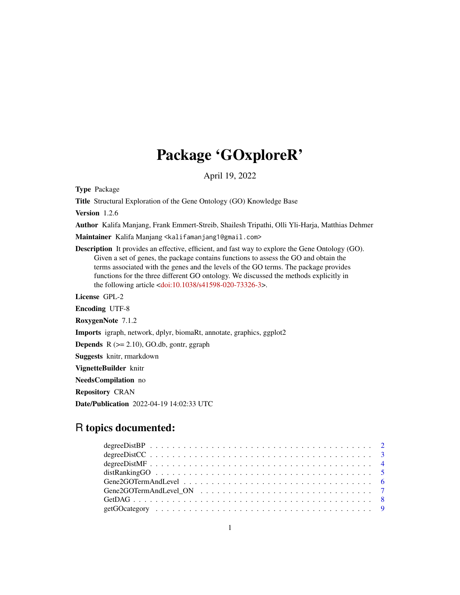# Package 'GOxploreR'

April 19, 2022

Type Package

Title Structural Exploration of the Gene Ontology (GO) Knowledge Base

Version 1.2.6

Author Kalifa Manjang, Frank Emmert-Streib, Shailesh Tripathi, Olli Yli-Harja, Matthias Dehmer

Maintainer Kalifa Manjang <kalifamanjang1@gmail.com>

Description It provides an effective, efficient, and fast way to explore the Gene Ontology (GO). Given a set of genes, the package contains functions to assess the GO and obtain the terms associated with the genes and the levels of the GO terms. The package provides functions for the three different GO ontology. We discussed the methods explicitly in the following article [<doi:10.1038/s41598-020-73326-3>](https://doi.org/10.1038/s41598-020-73326-3).

License GPL-2

Encoding UTF-8

RoxygenNote 7.1.2

Imports igraph, network, dplyr, biomaRt, annotate, graphics, ggplot2

**Depends**  $R$  ( $>= 2.10$ ), GO.db, gontr, ggraph

Suggests knitr, rmarkdown

VignetteBuilder knitr

NeedsCompilation no

Repository CRAN

Date/Publication 2022-04-19 14:02:33 UTC

# R topics documented: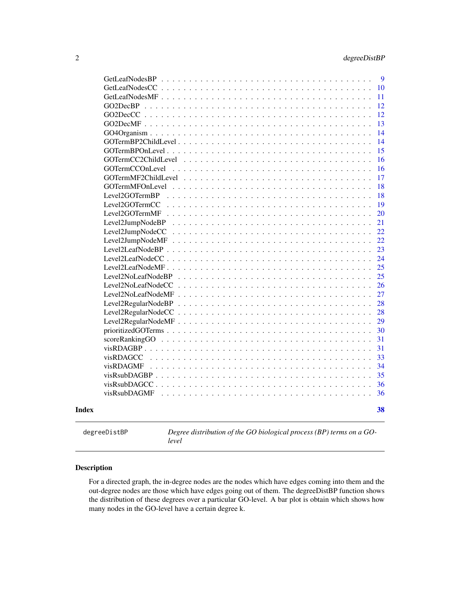<span id="page-1-0"></span>

|       |                                                                                          | 9  |
|-------|------------------------------------------------------------------------------------------|----|
|       | GetLeafNodesCC                                                                           | 10 |
|       | GetLeafNodesMF                                                                           | 11 |
|       | GO2DecBP                                                                                 | 12 |
|       |                                                                                          | 12 |
|       |                                                                                          | 13 |
|       |                                                                                          | 14 |
|       | GOTermBP2ChildLevel.                                                                     | 14 |
|       | $GOTermBPOnLevel$                                                                        | 15 |
|       | GOTermCC2ChildLevel                                                                      | 16 |
|       | GOTermCCOnLevel                                                                          | 16 |
|       | GOTermMF2ChildLevel                                                                      | 17 |
|       | <b>GOTermMFOnLevel</b>                                                                   | 18 |
|       | Level2GOTermBP<br>de la caractería de la caractería de la caractería                     | 18 |
|       | Level2GOTermCC<br>and the state of the state of the state                                | 19 |
|       | Level2GOTermMF                                                                           | 20 |
|       | Level2JumpNodeBP<br>.                                                                    | 21 |
|       | Level2JumpNodeCC<br>$\mathbf{1}$ $\mathbf{1}$ $\mathbf{1}$ $\mathbf{1}$<br>$\mathcal{L}$ | 22 |
|       | Level2JumpNodeMF                                                                         | 22 |
|       | Level2LeafNodeBP                                                                         | 23 |
|       | Level2LeafNode $CC$                                                                      | 24 |
|       | Level2LeafNodeMF                                                                         | 25 |
|       | Level2NoLeafNodeBP                                                                       | 25 |
|       | Level2NoLeafNodeCC                                                                       | 26 |
|       | Level2NoLeafNodeMF                                                                       | 27 |
|       |                                                                                          | 28 |
|       |                                                                                          | 28 |
|       |                                                                                          | 29 |
|       |                                                                                          | 30 |
|       | scoreRankingGO                                                                           | 31 |
|       |                                                                                          | 31 |
|       | visRDAGCC                                                                                | 33 |
|       | visRDAGMF                                                                                | 34 |
|       | $visRsubDAGBP$                                                                           | 35 |
|       | visRsubDAGCC.                                                                            | 36 |
|       | visRsubDAGMF                                                                             | 36 |
|       |                                                                                          |    |
| Index |                                                                                          | 38 |
|       |                                                                                          |    |

degreeDistBP *Degree distribution of the GO biological process (BP) terms on a GOlevel*

# Description

For a directed graph, the in-degree nodes are the nodes which have edges coming into them and the out-degree nodes are those which have edges going out of them. The degreeDistBP function shows the distribution of these degrees over a particular GO-level. A bar plot is obtain which shows how many nodes in the GO-level have a certain degree k.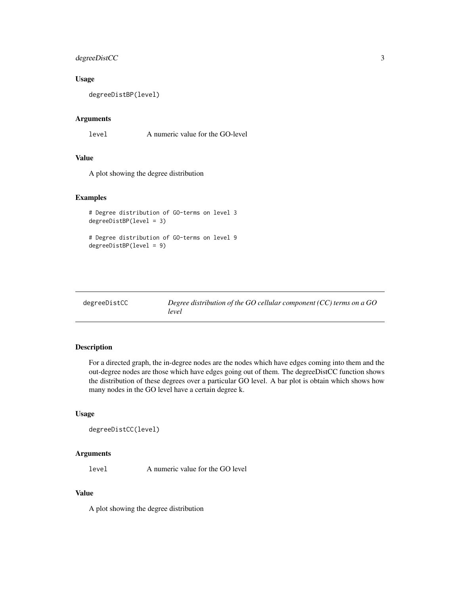# <span id="page-2-0"></span>degreeDistCC 3

# Usage

degreeDistBP(level)

# Arguments

level A numeric value for the GO-level

# Value

A plot showing the degree distribution

# Examples

```
# Degree distribution of GO-terms on level 3
degreeDistBP(level = 3)
# Degree distribution of GO-terms on level 9
```
degreeDistBP(level = 9)

| degreeDistCC | Degree distribution of the GO cellular component (CC) terms on a GO |
|--------------|---------------------------------------------------------------------|
|              | level                                                               |

# Description

For a directed graph, the in-degree nodes are the nodes which have edges coming into them and the out-degree nodes are those which have edges going out of them. The degreeDistCC function shows the distribution of these degrees over a particular GO level. A bar plot is obtain which shows how many nodes in the GO level have a certain degree k.

# Usage

```
degreeDistCC(level)
```
# Arguments

level A numeric value for the GO level

# Value

A plot showing the degree distribution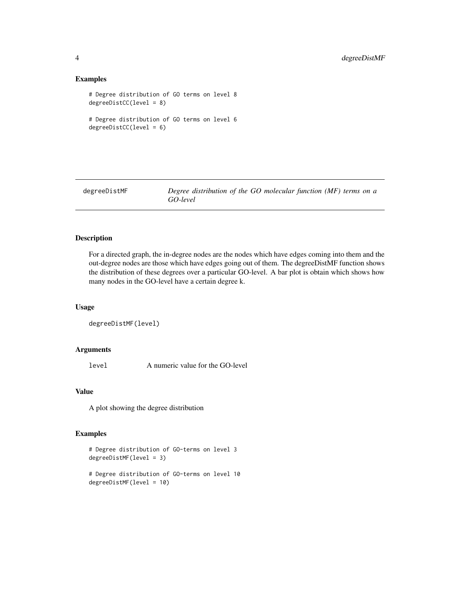# Examples

```
# Degree distribution of GO terms on level 8
degreeDistCC(level = 8)
# Degree distribution of GO terms on level 6
degreeDistCC(level = 6)
```
degreeDistMF *Degree distribution of the GO molecular function (MF) terms on a GO-level*

#### Description

For a directed graph, the in-degree nodes are the nodes which have edges coming into them and the out-degree nodes are those which have edges going out of them. The degreeDistMF function shows the distribution of these degrees over a particular GO-level. A bar plot is obtain which shows how many nodes in the GO-level have a certain degree k.

#### Usage

```
degreeDistMF(level)
```
#### Arguments

level A numeric value for the GO-level

# Value

A plot showing the degree distribution

```
# Degree distribution of GO-terms on level 3
degreeDistMF(level = 3)
```

```
# Degree distribution of GO-terms on level 10
degreeDistMF(level = 10)
```
<span id="page-3-0"></span>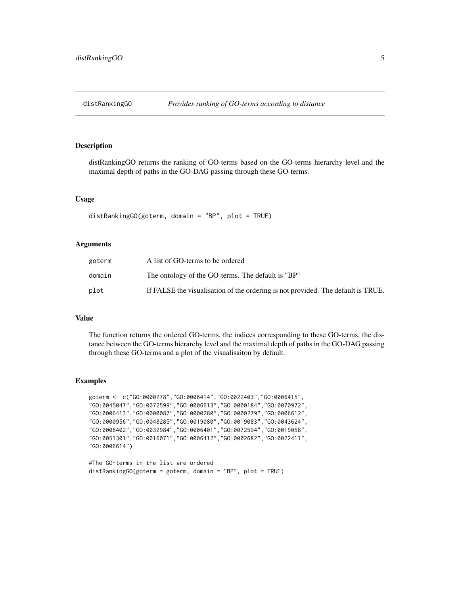<span id="page-4-0"></span>

distRankingGO returns the ranking of GO-terms based on the GO-terms hierarchy level and the maximal depth of paths in the GO-DAG passing through these GO-terms.

# Usage

distRankingGO(goterm, domain = "BP", plot = TRUE)

# Arguments

| goterm | A list of GO-terms to be ordered                                                 |
|--------|----------------------------------------------------------------------------------|
| domain | The ontology of the GO-terms. The default is "BP"                                |
| plot   | If FALSE the visualisation of the ordering is not provided. The default is TRUE. |

# Value

The function returns the ordered GO-terms, the indices corresponding to these GO-terms, the distance between the GO-terms hierarchy level and the maximal depth of paths in the GO-DAG passing through these GO-terms and a plot of the visualisaiton by default.

```
goterm <- c("GO:0000278","GO:0006414","GO:0022403","GO:0006415",
"GO:0045047","GO:0072599","GO:0006613","GO:0000184","GO:0070972",
"GO:0006413","GO:0000087","GO:0000280","GO:0000279","GO:0006612",
"GO:0000956","GO:0048285","GO:0019080","GO:0019083","GO:0043624",
"GO:0006402","GO:0032984","GO:0006401","GO:0072594","GO:0019058",
"GO:0051301","GO:0016071","GO:0006412","GO:0002682","GO:0022411",
"GO:0006614")
```

```
#The GO-terms in the list are ordered
distRankingGO(goterm = goterm, domain = "BP", plot = TRUE)
```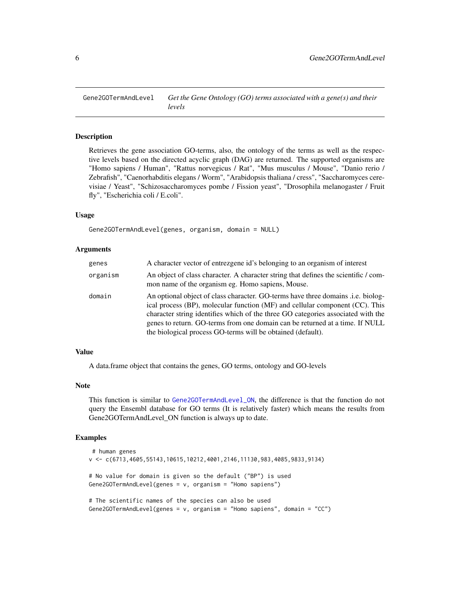<span id="page-5-0"></span>

Retrieves the gene association GO-terms, also, the ontology of the terms as well as the respective levels based on the directed acyclic graph (DAG) are returned. The supported organisms are "Homo sapiens / Human", "Rattus norvegicus / Rat", "Mus musculus / Mouse", "Danio rerio / Zebrafish", "Caenorhabditis elegans / Worm", "Arabidopsis thaliana / cress", "Saccharomyces cerevisiae / Yeast", "Schizosaccharomyces pombe / Fission yeast", "Drosophila melanogaster / Fruit fly", "Escherichia coli / E.coli".

# Usage

Gene2GOTermAndLevel(genes, organism, domain = NULL)

# Arguments

| genes    | A character vector of entrezgene id's belonging to an organism of interest                                                                                                                                                                                                                                                                                                                                |
|----------|-----------------------------------------------------------------------------------------------------------------------------------------------------------------------------------------------------------------------------------------------------------------------------------------------------------------------------------------------------------------------------------------------------------|
| organism | An object of class character. A character string that defines the scientific / com-<br>mon name of the organism eg. Homo sapiens, Mouse.                                                                                                                                                                                                                                                                  |
| domain   | An optional object of class character. GO-terms have three domains <i>i.e.</i> biolog-<br>ical process (BP), molecular function (MF) and cellular component (CC). This<br>character string identifies which of the three GO categories associated with the<br>genes to return. GO-terms from one domain can be returned at a time. If NULL<br>the biological process GO-terms will be obtained (default). |

# Value

A data.frame object that contains the genes, GO terms, ontology and GO-levels

# Note

This function is similar to [Gene2GOTermAndLevel\\_ON](#page-6-1), the difference is that the function do not query the Ensembl database for GO terms (It is relatively faster) which means the results from Gene2GOTermAndLevel\_ON function is always up to date.

```
# human genes
v <- c(6713,4605,55143,10615,10212,4001,2146,11130,983,4085,9833,9134)
# No value for domain is given so the default ("BP") is used
Gene2GOTermAndLevel(genes = v, organism = "Homo sapiens")
# The scientific names of the species can also be used
Gene2GOTermAndLevel(genes = v, organism = "Homo sapiens", domain = "CC")
```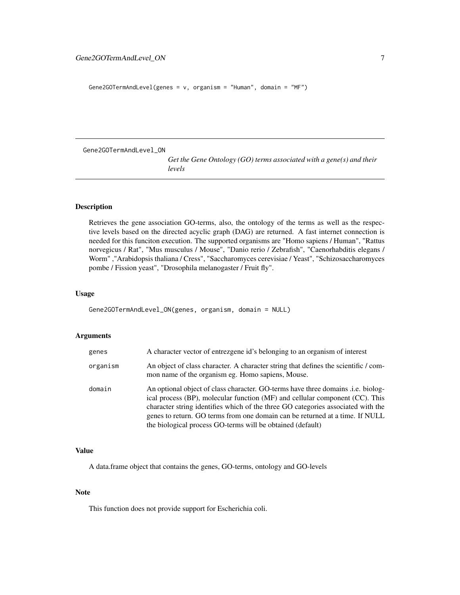```
Gene2GOTermAndLevel(genes = v, organism = "Human", domain = "MF")
```
<span id="page-6-1"></span>Gene2GOTermAndLevel\_ON

```
Get the Gene Ontology (GO) terms associated with a gene(s) and their
levels
```
# Description

Retrieves the gene association GO-terms, also, the ontology of the terms as well as the respective levels based on the directed acyclic graph (DAG) are returned. A fast internet connection is needed for this funciton execution. The supported organisms are "Homo sapiens / Human", "Rattus norvegicus / Rat", "Mus musculus / Mouse", "Danio rerio / Zebrafish", "Caenorhabditis elegans / Worm" ,"Arabidopsis thaliana / Cress", "Saccharomyces cerevisiae / Yeast", "Schizosaccharomyces pombe / Fission yeast", "Drosophila melanogaster / Fruit fly".

# Usage

Gene2GOTermAndLevel\_ON(genes, organism, domain = NULL)

# Arguments

| genes    | A character vector of entrezgene id's belonging to an organism of interest                                                                                                                                                                                                                                                                                                                               |
|----------|----------------------------------------------------------------------------------------------------------------------------------------------------------------------------------------------------------------------------------------------------------------------------------------------------------------------------------------------------------------------------------------------------------|
| organism | An object of class character. A character string that defines the scientific / com-<br>mon name of the organism eg. Homo sapiens, Mouse.                                                                                                                                                                                                                                                                 |
| domain   | An optional object of class character. GO-terms have three domains <i>i.e.</i> biolog-<br>ical process (BP), molecular function (MF) and cellular component (CC). This<br>character string identifies which of the three GO categories associated with the<br>genes to return. GO terms from one domain can be returned at a time. If NULL<br>the biological process GO-terms will be obtained (default) |

# Value

A data.frame object that contains the genes, GO-terms, ontology and GO-levels

# Note

This function does not provide support for Escherichia coli.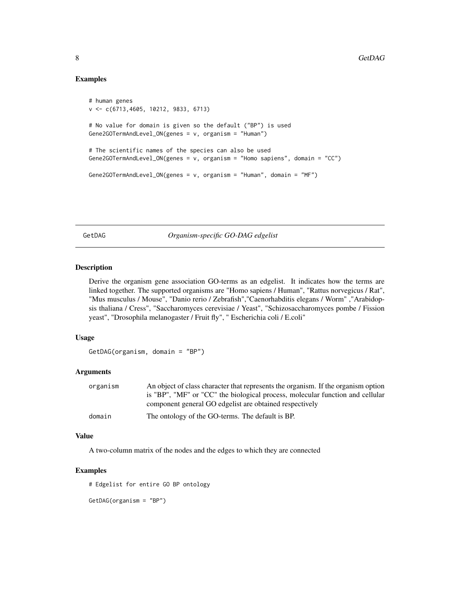# Examples

```
# human genes
v <- c(6713,4605, 10212, 9833, 6713)
# No value for domain is given so the default ("BP") is used
Gene2GOTermAndLevel_ON(genes = v, organism = "Human")
# The scientific names of the species can also be used
Gene2GOTermAndLevel_ON(genes = v, organism = "Homo sapiens", domain = "CC")
Gene2GOTermAndLevel_ON(genes = v, organism = "Human", domain = "MF")
```
GetDAG *Organism-specific GO-DAG edgelist*

# Description

Derive the organism gene association GO-terms as an edgelist. It indicates how the terms are linked together. The supported organisms are "Homo sapiens / Human", "Rattus norvegicus / Rat", "Mus musculus / Mouse", "Danio rerio / Zebrafish","Caenorhabditis elegans / Worm" ,"Arabidopsis thaliana / Cress", "Saccharomyces cerevisiae / Yeast", "Schizosaccharomyces pombe / Fission yeast", "Drosophila melanogaster / Fruit fly", " Escherichia coli / E.coli"

# Usage

```
GetDAG(organism, domain = "BP")
```
# Arguments

| organism | An object of class character that represents the organism. If the organism option |
|----------|-----------------------------------------------------------------------------------|
|          | is "BP", "MF" or "CC" the biological process, molecular function and cellular     |
|          | component general GO edgelist are obtained respectively                           |
| domain   | The ontology of the GO-terms. The default is BP.                                  |

#### Value

A two-column matrix of the nodes and the edges to which they are connected

# Examples

# Edgelist for entire GO BP ontology

GetDAG(organism = "BP")

<span id="page-7-0"></span>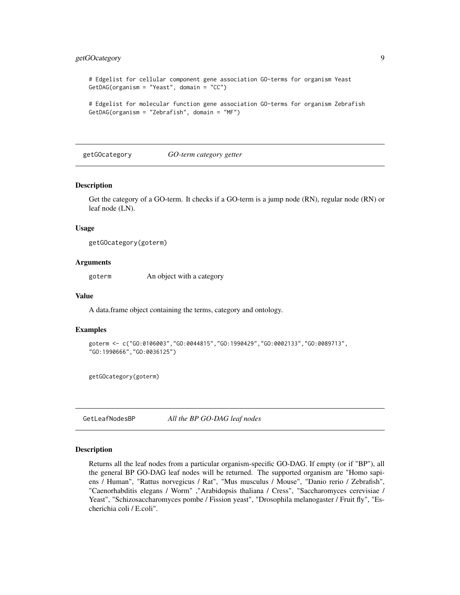# <span id="page-8-0"></span>getGOcategory 9

```
# Edgelist for cellular component gene association GO-terms for organism Yeast
GetDAG(organism = "Yeast", domain = "CC")
```

```
# Edgelist for molecular function gene association GO-terms for organism Zebrafish
GetDAG(organism = "Zebrafish", domain = "MF")
```
getGOcategory *GO-term category getter*

# Description

Get the category of a GO-term. It checks if a GO-term is a jump node (RN), regular node (RN) or leaf node (LN).

#### Usage

```
getGOcategory(goterm)
```
# Arguments

goterm An object with a category

#### Value

A data.frame object containing the terms, category and ontology.

#### Examples

```
goterm <- c("GO:0106003","GO:0044815","GO:1990429","GO:0002133","GO:0089713",
"GO:1990666","GO:0036125")
```
getGOcategory(goterm)

GetLeafNodesBP *All the BP GO-DAG leaf nodes*

#### Description

Returns all the leaf nodes from a particular organism-specific GO-DAG. If empty (or if "BP"), all the general BP GO-DAG leaf nodes will be returned. The supported organism are "Homo sapiens / Human", "Rattus norvegicus / Rat", "Mus musculus / Mouse", "Danio rerio / Zebrafish", "Caenorhabditis elegans / Worm" ,"Arabidopsis thaliana / Cress", "Saccharomyces cerevisiae / Yeast", "Schizosaccharomyces pombe / Fission yeast", "Drosophila melanogaster / Fruit fly", "Escherichia coli / E.coli".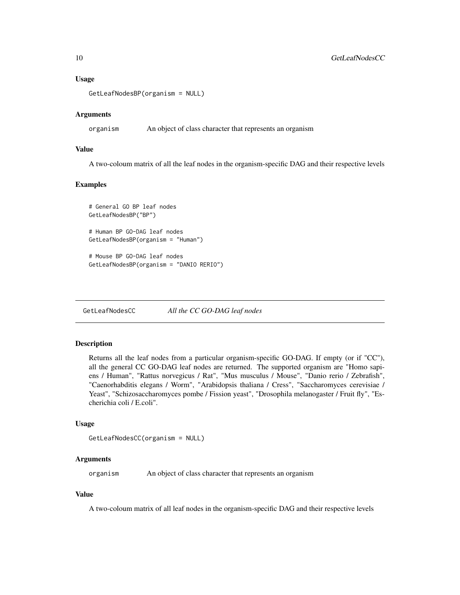# <span id="page-9-0"></span>Usage

```
GetLeafNodesBP(organism = NULL)
```
#### Arguments

organism An object of class character that represents an organism

# Value

A two-coloum matrix of all the leaf nodes in the organism-specific DAG and their respective levels

# Examples

```
# General GO BP leaf nodes
GetLeafNodesBP("BP")
```

```
# Human BP GO-DAG leaf nodes
GetLeafNodesBP(organism = "Human")
```

```
# Mouse BP GO-DAG leaf nodes
GetLeafNodesBP(organism = "DANIO RERIO")
```
GetLeafNodesCC *All the CC GO-DAG leaf nodes*

# Description

Returns all the leaf nodes from a particular organism-specific GO-DAG. If empty (or if "CC"), all the general CC GO-DAG leaf nodes are returned. The supported organism are "Homo sapiens / Human", "Rattus norvegicus / Rat", "Mus musculus / Mouse", "Danio rerio / Zebrafish", "Caenorhabditis elegans / Worm", "Arabidopsis thaliana / Cress", "Saccharomyces cerevisiae / Yeast", "Schizosaccharomyces pombe / Fission yeast", "Drosophila melanogaster / Fruit fly", "Escherichia coli / E.coli".

#### Usage

```
GetLeafNodesCC(organism = NULL)
```
# Arguments

organism An object of class character that represents an organism

### Value

A two-coloum matrix of all leaf nodes in the organism-specific DAG and their respective levels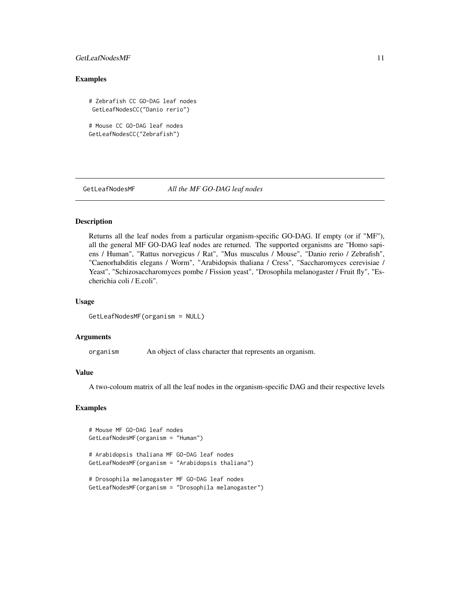# <span id="page-10-0"></span>GetLeafNodesMF 11

# Examples

# Zebrafish CC GO-DAG leaf nodes GetLeafNodesCC("Danio rerio")

# Mouse CC GO-DAG leaf nodes GetLeafNodesCC("Zebrafish")

GetLeafNodesMF *All the MF GO-DAG leaf nodes*

# Description

Returns all the leaf nodes from a particular organism-specific GO-DAG. If empty (or if "MF"), all the general MF GO-DAG leaf nodes are returned. The supported organisms are "Homo sapiens / Human", "Rattus norvegicus / Rat", "Mus musculus / Mouse", "Danio rerio / Zebrafish", "Caenorhabditis elegans / Worm", "Arabidopsis thaliana / Cress", "Saccharomyces cerevisiae / Yeast", "Schizosaccharomyces pombe / Fission yeast", "Drosophila melanogaster / Fruit fly", "Escherichia coli / E.coli".

# Usage

GetLeafNodesMF(organism = NULL)

# Arguments

organism An object of class character that represents an organism.

# Value

A two-coloum matrix of all the leaf nodes in the organism-specific DAG and their respective levels

# Examples

```
# Mouse MF GO-DAG leaf nodes
GetLeafNodesMF(organism = "Human")
```
# Arabidopsis thaliana MF GO-DAG leaf nodes GetLeafNodesMF(organism = "Arabidopsis thaliana")

```
# Drosophila melanogaster MF GO-DAG leaf nodes
GetLeafNodesMF(organism = "Drosophila melanogaster")
```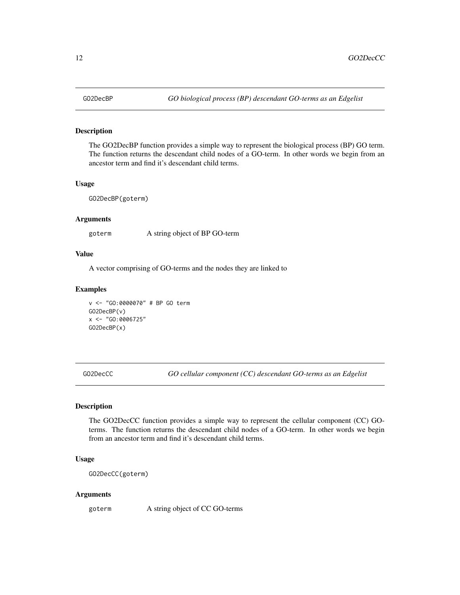The GO2DecBP function provides a simple way to represent the biological process (BP) GO term. The function returns the descendant child nodes of a GO-term. In other words we begin from an ancestor term and find it's descendant child terms.

#### Usage

GO2DecBP(goterm)

# Arguments

goterm A string object of BP GO-term

#### Value

A vector comprising of GO-terms and the nodes they are linked to

# Examples

```
v <- "GO:0000070" # BP GO term
GO2DecBP(v)
x <- "GO:0006725"
GO2DecBP(x)
```
GO2DecCC *GO cellular component (CC) descendant GO-terms as an Edgelist*

#### Description

The GO2DecCC function provides a simple way to represent the cellular component (CC) GOterms. The function returns the descendant child nodes of a GO-term. In other words we begin from an ancestor term and find it's descendant child terms.

# Usage

```
GO2DecCC(goterm)
```
#### Arguments

goterm A string object of CC GO-terms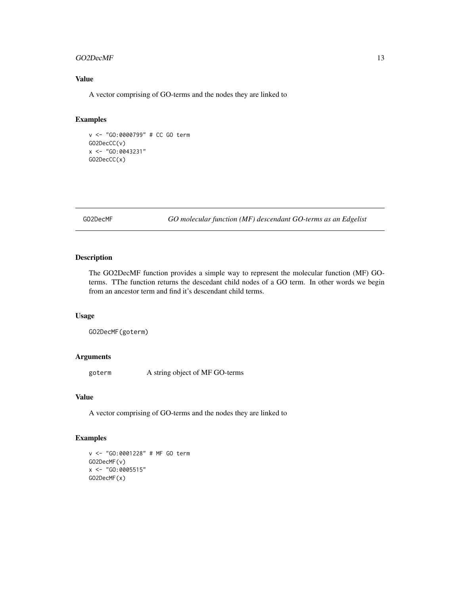#### <span id="page-12-0"></span> $GO2DecMF$  13

# Value

A vector comprising of GO-terms and the nodes they are linked to

# Examples

```
v <- "GO:0000799" # CC GO term
GO2DecCC(v)
x <- "GO:0043231"
GO2DecCC(x)
```
GO2DecMF *GO molecular function (MF) descendant GO-terms as an Edgelist*

# Description

The GO2DecMF function provides a simple way to represent the molecular function (MF) GOterms. TThe function returns the descedant child nodes of a GO term. In other words we begin from an ancestor term and find it's descendant child terms.

# Usage

```
GO2DecMF(goterm)
```
# Arguments

goterm A string object of MF GO-terms

# Value

A vector comprising of GO-terms and the nodes they are linked to

```
v <- "GO:0001228" # MF GO term
GO2DecMF(v)
x <- "GO:0005515"
GO2DecMF(x)
```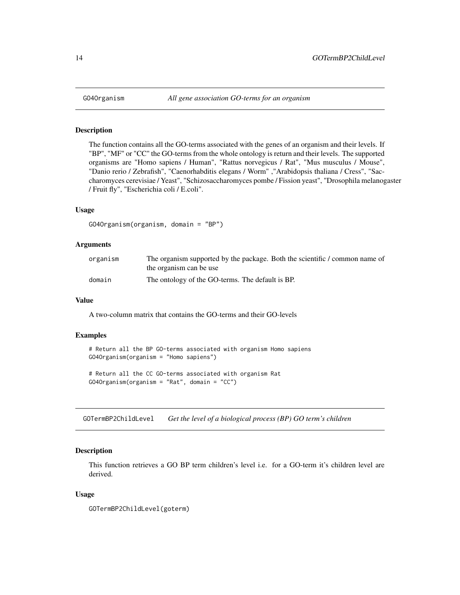The function contains all the GO-terms associated with the genes of an organism and their levels. If "BP", "MF" or "CC" the GO-terms from the whole ontology is return and their levels. The supported organisms are "Homo sapiens / Human", "Rattus norvegicus / Rat", "Mus musculus / Mouse", "Danio rerio / Zebrafish", "Caenorhabditis elegans / Worm" ,"Arabidopsis thaliana / Cress", "Saccharomyces cerevisiae / Yeast", "Schizosaccharomyces pombe / Fission yeast", "Drosophila melanogaster / Fruit fly", "Escherichia coli / E.coli".

#### Usage

```
GO4Organism(organism, domain = "BP")
```
# Arguments

| organism | The organism supported by the package. Both the scientific / common name of |
|----------|-----------------------------------------------------------------------------|
|          | the organism can be use                                                     |
| domain   | The ontology of the GO-terms. The default is BP.                            |

# Value

A two-column matrix that contains the GO-terms and their GO-levels

#### Examples

```
# Return all the BP GO-terms associated with organism Homo sapiens
GO4Organism(organism = "Homo sapiens")
```
# Return all the CC GO-terms associated with organism Rat GO4Organism(organism = "Rat", domain = "CC")

GOTermBP2ChildLevel *Get the level of a biological process (BP) GO term's children*

# Description

This function retrieves a GO BP term children's level i.e. for a GO-term it's children level are derived.

### Usage

GOTermBP2ChildLevel(goterm)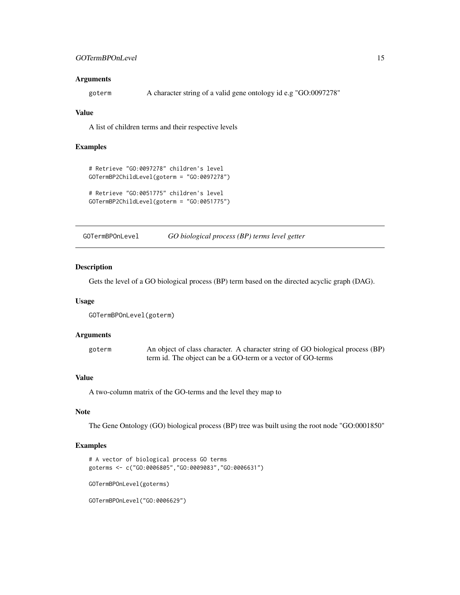#### <span id="page-14-0"></span>Arguments

goterm A character string of a valid gene ontology id e.g "GO:0097278"

#### Value

A list of children terms and their respective levels

# Examples

```
# Retrieve "GO:0097278" children's level
GOTermBP2ChildLevel(goterm = "GO:0097278")
# Retrieve "GO:0051775" children's level
GOTermBP2ChildLevel(goterm = "GO:0051775")
```
GOTermBPOnLevel *GO biological process (BP) terms level getter*

#### Description

Gets the level of a GO biological process (BP) term based on the directed acyclic graph (DAG).

#### Usage

GOTermBPOnLevel(goterm)

# Arguments

| goterm | An object of class character. A character string of GO biological process (BP) |
|--------|--------------------------------------------------------------------------------|
|        | term id. The object can be a GO-term or a vector of GO-terms                   |

# Value

A two-column matrix of the GO-terms and the level they map to

# Note

The Gene Ontology (GO) biological process (BP) tree was built using the root node "GO:0001850"

# Examples

```
# A vector of biological process GO terms
goterms <- c("GO:0006805","GO:0009083","GO:0006631")
GOTermBPOnLevel(goterms)
```
GOTermBPOnLevel("GO:0006629")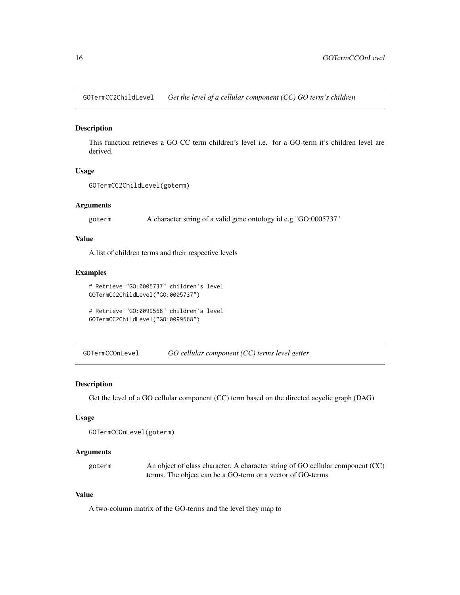<span id="page-15-0"></span>GOTermCC2ChildLevel *Get the level of a cellular component (CC) GO term's children*

# Description

This function retrieves a GO CC term children's level i.e. for a GO-term it's children level are derived.

# Usage

```
GOTermCC2ChildLevel(goterm)
```
# Arguments

goterm A character string of a valid gene ontology id e.g "GO:0005737"

# Value

A list of children terms and their respective levels

# Examples

```
# Retrieve "GO:0005737" children's level
GOTermCC2ChildLevel("GO:0005737")
```

```
# Retrieve "GO:0099568" children's level
GOTermCC2ChildLevel("GO:0099568")
```
GOTermCCOnLevel *GO cellular component (CC) terms level getter*

# Description

Get the level of a GO cellular component (CC) term based on the directed acyclic graph (DAG)

# Usage

```
GOTermCCOnLevel(goterm)
```
# Arguments

| goterm | An object of class character. A character string of GO cellular component (CC) |
|--------|--------------------------------------------------------------------------------|
|        | terms. The object can be a GO-term or a vector of GO-terms                     |

# Value

A two-column matrix of the GO-terms and the level they map to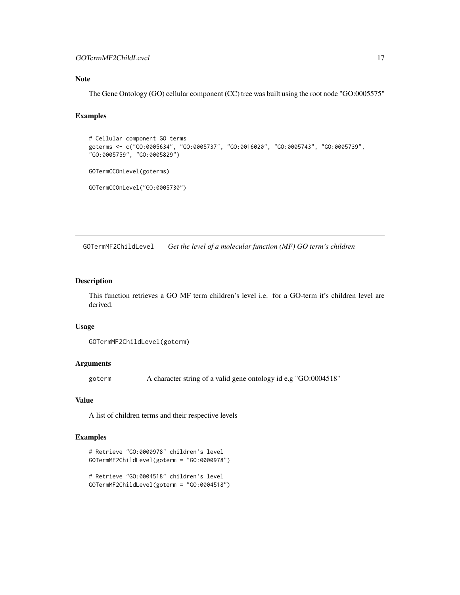# <span id="page-16-0"></span>GOTermMF2ChildLevel 17

# Note

The Gene Ontology (GO) cellular component (CC) tree was built using the root node "GO:0005575"

# Examples

```
# Cellular component GO terms
goterms <- c("GO:0005634", "GO:0005737", "GO:0016020", "GO:0005743", "GO:0005739",
"GO:0005759", "GO:0005829")
GOTermCCOnLevel(goterms)
GOTermCCOnLevel("GO:0005730")
```
GOTermMF2ChildLevel *Get the level of a molecular function (MF) GO term's children*

# Description

This function retrieves a GO MF term children's level i.e. for a GO-term it's children level are derived.

#### Usage

```
GOTermMF2ChildLevel(goterm)
```
# Arguments

goterm A character string of a valid gene ontology id e.g "GO:0004518"

# Value

A list of children terms and their respective levels

```
# Retrieve "GO:0000978" children's level
GOTermMF2ChildLevel(goterm = "GO:0000978")
```

```
# Retrieve "GO:0004518" children's level
GOTermMF2ChildLevel(goterm = "GO:0004518")
```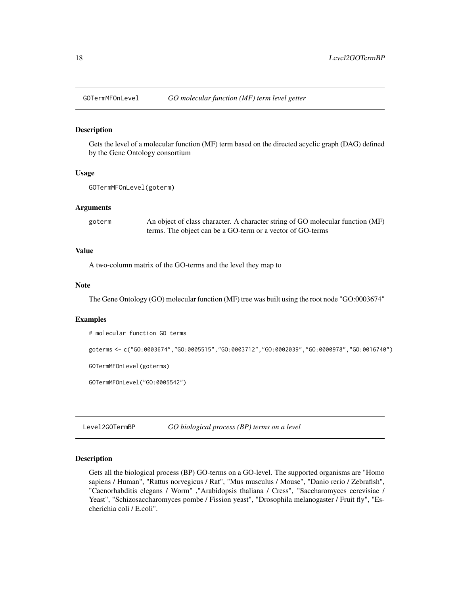<span id="page-17-0"></span>

Gets the level of a molecular function (MF) term based on the directed acyclic graph (DAG) defined by the Gene Ontology consortium

#### Usage

GOTermMFOnLevel(goterm)

#### Arguments

| goterm | An object of class character. A character string of GO molecular function (MF) |
|--------|--------------------------------------------------------------------------------|
|        | terms. The object can be a GO-term or a vector of GO-terms                     |

# Value

A two-column matrix of the GO-terms and the level they map to

#### Note

The Gene Ontology (GO) molecular function (MF) tree was built using the root node "GO:0003674"

# Examples

```
# molecular function GO terms
goterms <- c("GO:0003674","GO:0005515","GO:0003712","GO:0002039","GO:0000978","GO:0016740")
GOTermMFOnLevel(goterms)
GOTermMFOnLevel("GO:0005542")
```
Level2GOTermBP *GO biological process (BP) terms on a level*

# Description

Gets all the biological process (BP) GO-terms on a GO-level. The supported organisms are "Homo sapiens / Human", "Rattus norvegicus / Rat", "Mus musculus / Mouse", "Danio rerio / Zebrafish", "Caenorhabditis elegans / Worm" ,"Arabidopsis thaliana / Cress", "Saccharomyces cerevisiae / Yeast", "Schizosaccharomyces pombe / Fission yeast", "Drosophila melanogaster / Fruit fly", "Escherichia coli / E.coli".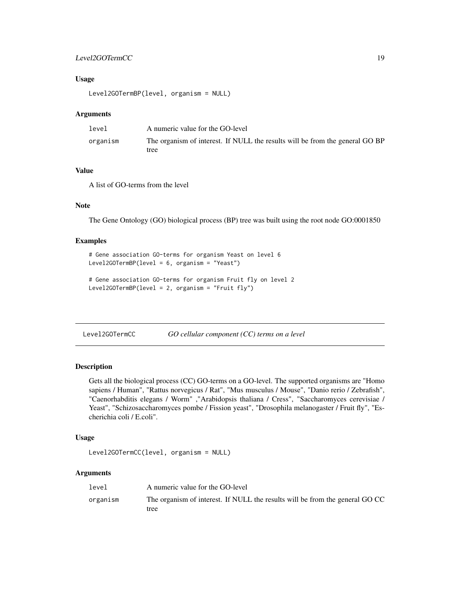# <span id="page-18-0"></span>Level2GOTermCC 19

# Usage

Level2GOTermBP(level, organism = NULL)

#### Arguments

| level    | A numeric value for the GO-level                                             |
|----------|------------------------------------------------------------------------------|
| organism | The organism of interest. If NULL the results will be from the general GO BP |
|          | tree                                                                         |

# Value

A list of GO-terms from the level

# Note

The Gene Ontology (GO) biological process (BP) tree was built using the root node GO:0001850

#### Examples

```
# Gene association GO-terms for organism Yeast on level 6
Level2GOTermBP(level = 6, organism = "Yeast")
```

```
# Gene association GO-terms for organism Fruit fly on level 2
Level2GOTermBP(level = 2, organism = "Fruit fly")
```
Level2GOTermCC *GO cellular component (CC) terms on a level*

#### Description

Gets all the biological process (CC) GO-terms on a GO-level. The supported organisms are "Homo sapiens / Human", "Rattus norvegicus / Rat", "Mus musculus / Mouse", "Danio rerio / Zebrafish", "Caenorhabditis elegans / Worm" ,"Arabidopsis thaliana / Cress", "Saccharomyces cerevisiae / Yeast", "Schizosaccharomyces pombe / Fission yeast", "Drosophila melanogaster / Fruit fly", "Escherichia coli / E.coli".

# Usage

```
Level2GOTermCC(level, organism = NULL)
```
#### Arguments

| level    | A numeric value for the GO-level                                             |
|----------|------------------------------------------------------------------------------|
| organism | The organism of interest. If NULL the results will be from the general GO CC |
|          | tree                                                                         |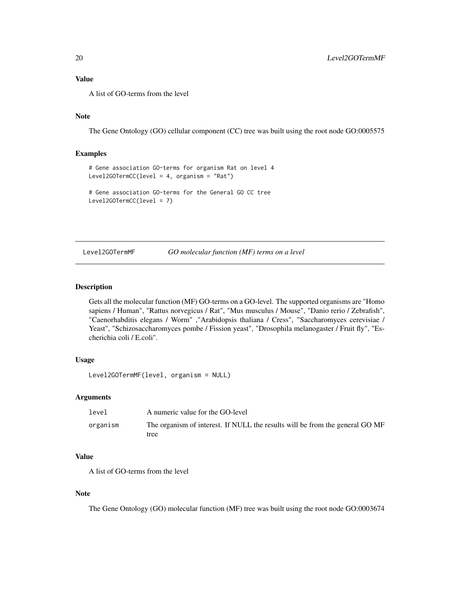# <span id="page-19-0"></span>Value

A list of GO-terms from the level

# Note

The Gene Ontology (GO) cellular component (CC) tree was built using the root node GO:0005575

# Examples

```
# Gene association GO-terms for organism Rat on level 4
Level2GOTermCC(level = 4, organism = "Rat")
# Gene association GO-terms for the General GO CC tree
Level2GOTermCC(level = 7)
```
Level2GOTermMF *GO molecular function (MF) terms on a level*

#### Description

Gets all the molecular function (MF) GO-terms on a GO-level. The supported organisms are "Homo sapiens / Human", "Rattus norvegicus / Rat", "Mus musculus / Mouse", "Danio rerio / Zebrafish", "Caenorhabditis elegans / Worm" ,"Arabidopsis thaliana / Cress", "Saccharomyces cerevisiae / Yeast", "Schizosaccharomyces pombe / Fission yeast", "Drosophila melanogaster / Fruit fly", "Escherichia coli / E.coli".

# Usage

```
Level2GOTermMF(level, organism = NULL)
```
# Arguments

| level    | A numeric value for the GO-level                                             |
|----------|------------------------------------------------------------------------------|
| organism | The organism of interest. If NULL the results will be from the general GO MF |
|          | tree                                                                         |

# Value

A list of GO-terms from the level

#### Note

The Gene Ontology (GO) molecular function (MF) tree was built using the root node GO:0003674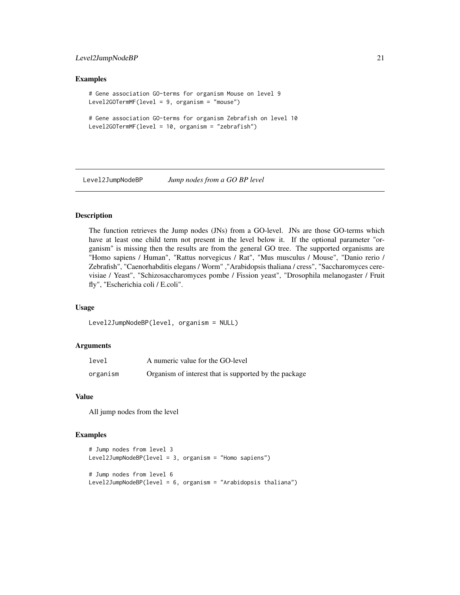# <span id="page-20-0"></span>Level2JumpNodeBP 21

# Examples

```
# Gene association GO-terms for organism Mouse on level 9
Level2GOTermMF(level = 9, organism = "mouse")
# Gene association GO-terms for organism Zebrafish on level 10
Level2GOTermMF(level = 10, organism = "zebrafish")
```
Level2JumpNodeBP *Jump nodes from a GO BP level*

# **Description**

The function retrieves the Jump nodes (JNs) from a GO-level. JNs are those GO-terms which have at least one child term not present in the level below it. If the optional parameter "organism" is missing then the results are from the general GO tree. The supported organisms are "Homo sapiens / Human", "Rattus norvegicus / Rat", "Mus musculus / Mouse", "Danio rerio / Zebrafish", "Caenorhabditis elegans / Worm" ,"Arabidopsis thaliana / cress", "Saccharomyces cerevisiae / Yeast", "Schizosaccharomyces pombe / Fission yeast", "Drosophila melanogaster / Fruit fly", "Escherichia coli / E.coli".

#### Usage

Level2JumpNodeBP(level, organism = NULL)

### Arguments

| level    | A numeric value for the GO-level                      |
|----------|-------------------------------------------------------|
| organism | Organism of interest that is supported by the package |

# Value

All jump nodes from the level

```
# Jump nodes from level 3
Level2JumpNodeBP(level = 3, organism = "Homo sapiens")
# Jump nodes from level 6
Level2JumpNodeBP(level = 6, organism = "Arabidopsis thaliana")
```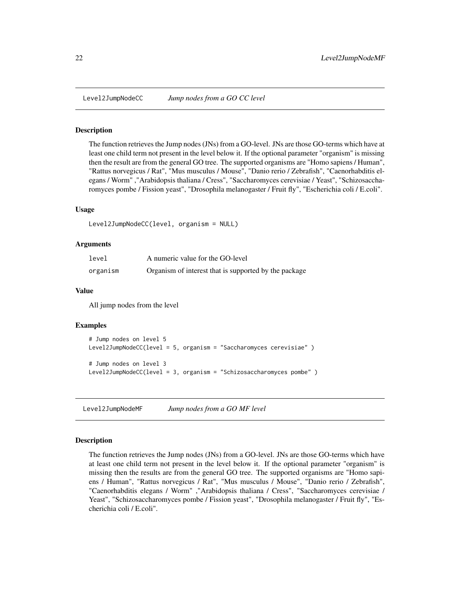<span id="page-21-0"></span>

The function retrieves the Jump nodes (JNs) from a GO-level. JNs are those GO-terms which have at least one child term not present in the level below it. If the optional parameter "organism" is missing then the result are from the general GO tree. The supported organisms are "Homo sapiens / Human", "Rattus norvegicus / Rat", "Mus musculus / Mouse", "Danio rerio / Zebrafish", "Caenorhabditis elegans / Worm" ,"Arabidopsis thaliana / Cress", "Saccharomyces cerevisiae / Yeast", "Schizosaccharomyces pombe / Fission yeast", "Drosophila melanogaster / Fruit fly", "Escherichia coli / E.coli".

# Usage

```
Level2JumpNodeCC(level, organism = NULL)
```
#### Arguments

| level    | A numeric value for the GO-level                      |
|----------|-------------------------------------------------------|
| organism | Organism of interest that is supported by the package |

#### Value

All jump nodes from the level

#### Examples

```
# Jump nodes on level 5
Level2JumpNodeCC(level = 5, organism = "Saccharomyces cerevisiae" )
# Jump nodes on level 3
Level2JumpNodeCC(level = 3, organism = "Schizosaccharomyces pombe" )
```
Level2JumpNodeMF *Jump nodes from a GO MF level*

# **Description**

The function retrieves the Jump nodes (JNs) from a GO-level. JNs are those GO-terms which have at least one child term not present in the level below it. If the optional parameter "organism" is missing then the results are from the general GO tree. The supported organisms are "Homo sapiens / Human", "Rattus norvegicus / Rat", "Mus musculus / Mouse", "Danio rerio / Zebrafish", "Caenorhabditis elegans / Worm" ,"Arabidopsis thaliana / Cress", "Saccharomyces cerevisiae / Yeast", "Schizosaccharomyces pombe / Fission yeast", "Drosophila melanogaster / Fruit fly", "Escherichia coli / E.coli".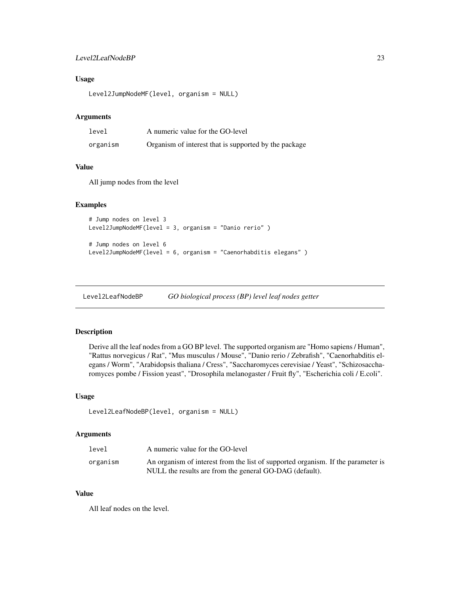# <span id="page-22-0"></span>Level2LeafNodeBP 23

# Usage

Level2JumpNodeMF(level, organism = NULL)

#### Arguments

| level    | A numeric value for the GO-level                      |
|----------|-------------------------------------------------------|
| organism | Organism of interest that is supported by the package |

# Value

All jump nodes from the level

#### Examples

```
# Jump nodes on level 3
Level2JumpNodeMF(level = 3, organism = "Danio rerio" )
# Jump nodes on level 6
Level2JumpNodeMF(level = 6, organism = "Caenorhabditis elegans" )
```
Level2LeafNodeBP *GO biological process (BP) level leaf nodes getter*

# Description

Derive all the leaf nodes from a GO BP level. The supported organism are "Homo sapiens / Human", "Rattus norvegicus / Rat", "Mus musculus / Mouse", "Danio rerio / Zebrafish", "Caenorhabditis elegans / Worm", "Arabidopsis thaliana / Cress", "Saccharomyces cerevisiae / Yeast", "Schizosaccharomyces pombe / Fission yeast", "Drosophila melanogaster / Fruit fly", "Escherichia coli / E.coli".

# Usage

```
Level2LeafNodeBP(level, organism = NULL)
```
# Arguments

| level    | A numeric value for the GO-level                                                 |
|----------|----------------------------------------------------------------------------------|
| organism | An organism of interest from the list of supported organism. If the parameter is |
|          | NULL the results are from the general GO-DAG (default).                          |

#### Value

All leaf nodes on the level.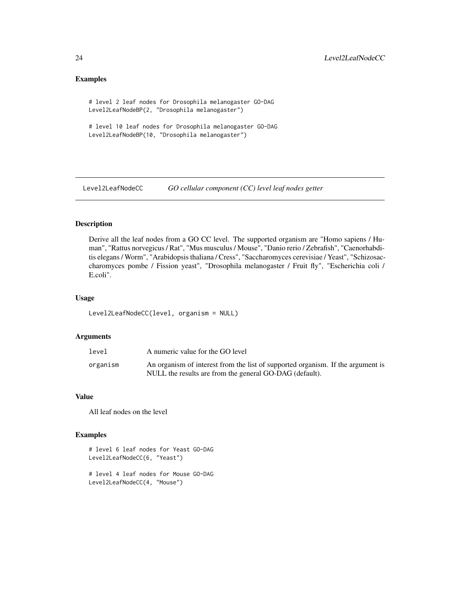# Examples

# level 2 leaf nodes for Drosophila melanogaster GO-DAG Level2LeafNodeBP(2, "Drosophila melanogaster")

# level 10 leaf nodes for Drosophila melanogaster GO-DAG Level2LeafNodeBP(10, "Drosophila melanogaster")

Level2LeafNodeCC *GO cellular component (CC) level leaf nodes getter*

# Description

Derive all the leaf nodes from a GO CC level. The supported organism are "Homo sapiens / Human", "Rattus norvegicus / Rat", "Mus musculus / Mouse", "Danio rerio / Zebrafish", "Caenorhabditis elegans / Worm", "Arabidopsis thaliana / Cress", "Saccharomyces cerevisiae / Yeast", "Schizosaccharomyces pombe / Fission yeast", "Drosophila melanogaster / Fruit fly", "Escherichia coli / E.coli".

# Usage

Level2LeafNodeCC(level, organism = NULL)

# Arguments

| level    | A numeric value for the GO level                                                |
|----------|---------------------------------------------------------------------------------|
| organism | An organism of interest from the list of supported organism. If the argument is |
|          | NULL the results are from the general GO-DAG (default).                         |

# Value

All leaf nodes on the level

# Examples

```
# level 6 leaf nodes for Yeast GO-DAG
Level2LeafNodeCC(6, "Yeast")
```
# level 4 leaf nodes for Mouse GO-DAG Level2LeafNodeCC(4, "Mouse")

<span id="page-23-0"></span>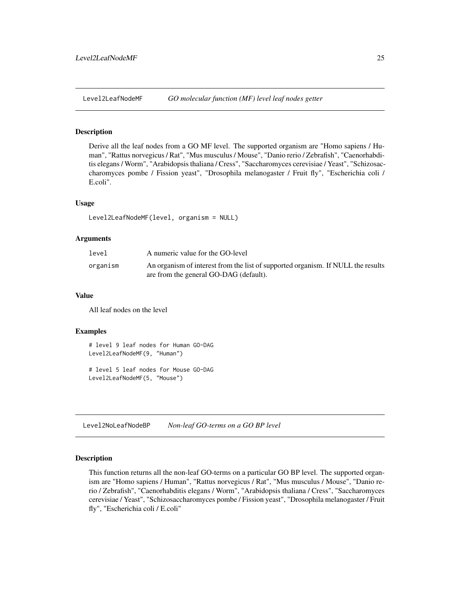<span id="page-24-0"></span>

Derive all the leaf nodes from a GO MF level. The supported organism are "Homo sapiens / Human", "Rattus norvegicus / Rat", "Mus musculus / Mouse", "Danio rerio / Zebrafish", "Caenorhabditis elegans / Worm", "Arabidopsis thaliana / Cress", "Saccharomyces cerevisiae / Yeast", "Schizosaccharomyces pombe / Fission yeast", "Drosophila melanogaster / Fruit fly", "Escherichia coli / E.coli".

# Usage

```
Level2LeafNodeMF(level, organism = NULL)
```
# Arguments

| level    | A numeric value for the GO-level                                                                                           |
|----------|----------------------------------------------------------------------------------------------------------------------------|
| organism | An organism of interest from the list of supported organism. If NULL the results<br>are from the general GO-DAG (default). |

#### Value

All leaf nodes on the level

#### Examples

```
# level 9 leaf nodes for Human GO-DAG
Level2LeafNodeMF(9, "Human")
# level 5 leaf nodes for Mouse GO-DAG
Level2LeafNodeMF(5, "Mouse")
```
Level2NoLeafNodeBP *Non-leaf GO-terms on a GO BP level*

# Description

This function returns all the non-leaf GO-terms on a particular GO BP level. The supported organism are "Homo sapiens / Human", "Rattus norvegicus / Rat", "Mus musculus / Mouse", "Danio rerio / Zebrafish", "Caenorhabditis elegans / Worm", "Arabidopsis thaliana / Cress", "Saccharomyces cerevisiae / Yeast", "Schizosaccharomyces pombe / Fission yeast", "Drosophila melanogaster / Fruit fly", "Escherichia coli / E.coli"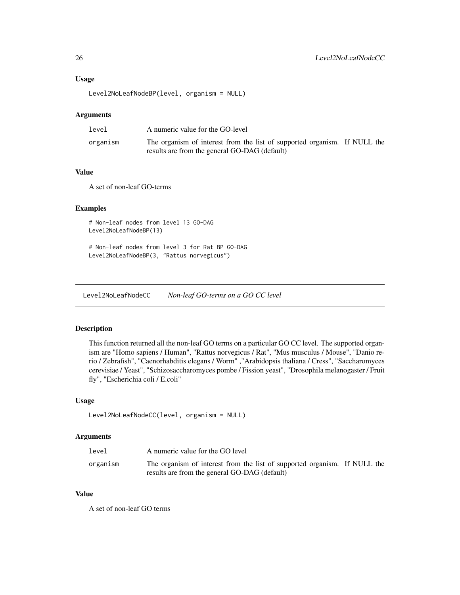#### <span id="page-25-0"></span>Usage

```
Level2NoLeafNodeBP(level, organism = NULL)
```
#### Arguments

| level    | A numeric value for the GO-level                                                                                           |  |
|----------|----------------------------------------------------------------------------------------------------------------------------|--|
| organism | The organism of interest from the list of supported organism. If NULL the<br>results are from the general GO-DAG (default) |  |

# Value

A set of non-leaf GO-terms

# Examples

# Non-leaf nodes from level 13 GO-DAG Level2NoLeafNodeBP(13)

# Non-leaf nodes from level 3 for Rat BP GO-DAG Level2NoLeafNodeBP(3, "Rattus norvegicus")

Level2NoLeafNodeCC *Non-leaf GO-terms on a GO CC level*

# Description

This function returned all the non-leaf GO terms on a particular GO CC level. The supported organism are "Homo sapiens / Human", "Rattus norvegicus / Rat", "Mus musculus / Mouse", "Danio rerio / Zebrafish", "Caenorhabditis elegans / Worm" ,"Arabidopsis thaliana / Cress", "Saccharomyces cerevisiae / Yeast", "Schizosaccharomyces pombe / Fission yeast", "Drosophila melanogaster / Fruit fly", "Escherichia coli / E.coli"

# Usage

```
Level2NoLeafNodeCC(level, organism = NULL)
```
#### Arguments

| level    | A numeric value for the GO level                                          |  |
|----------|---------------------------------------------------------------------------|--|
| organism | The organism of interest from the list of supported organism. If NULL the |  |
|          | results are from the general GO-DAG (default)                             |  |

#### Value

A set of non-leaf GO terms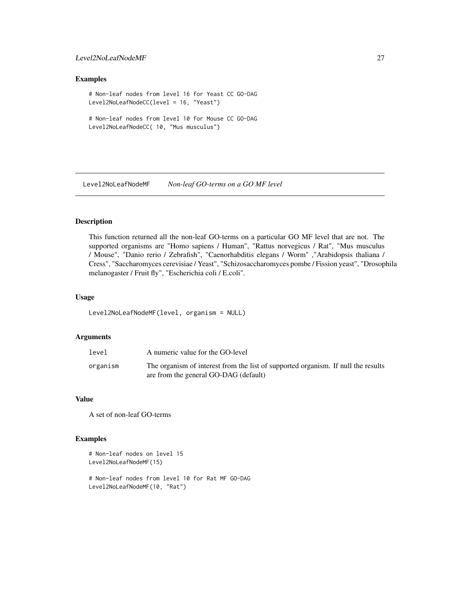# <span id="page-26-0"></span>Level2NoLeafNodeMF 27

#### Examples

```
# Non-leaf nodes from level 16 for Yeast CC GO-DAG
Level2NoLeafNodeCC(level = 16, "Yeast")
```

```
# Non-leaf nodes from level 10 for Mouse CC GO-DAG
Level2NoLeafNodeCC( 10, "Mus musculus")
```
Level2NoLeafNodeMF *Non-leaf GO-terms on a GO MF level*

# Description

This function returned all the non-leaf GO-terms on a particular GO MF level that are not. The supported organisms are "Homo sapiens / Human", "Rattus norvegicus / Rat", "Mus musculus / Mouse", "Danio rerio / Zebrafish", "Caenorhabditis elegans / Worm" ,"Arabidopsis thaliana / Cress", "Saccharomyces cerevisiae / Yeast", "Schizosaccharomyces pombe / Fission yeast", "Drosophila melanogaster / Fruit fly", "Escherichia coli / E.coli".

# Usage

```
Level2NoLeafNodeMF(level, organism = NULL)
```
# Arguments

| level    | A numeric value for the GO-level                                                  |
|----------|-----------------------------------------------------------------------------------|
| organism | The organism of interest from the list of supported organism. If null the results |
|          | are from the general GO-DAG (default)                                             |

# Value

A set of non-leaf GO-terms

```
# Non-leaf nodes on level 15
Level2NoLeafNodeMF(15)
# Non-leaf nodes from level 10 for Rat MF GO-DAG
```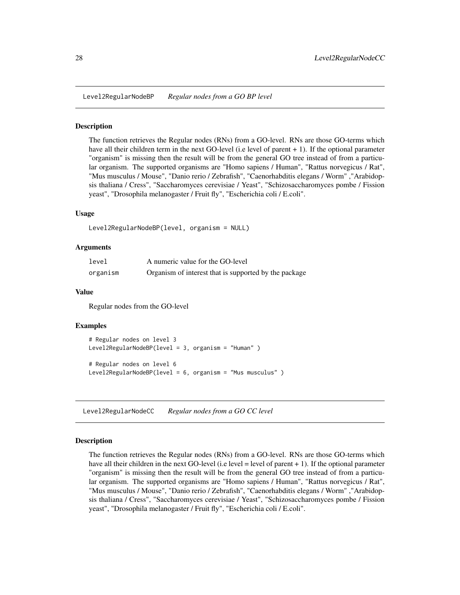<span id="page-27-0"></span>Level2RegularNodeBP *Regular nodes from a GO BP level*

#### Description

The function retrieves the Regular nodes (RNs) from a GO-level. RNs are those GO-terms which have all their children term in the next GO-level (i.e level of parent + 1). If the optional parameter "organism" is missing then the result will be from the general GO tree instead of from a particular organism. The supported organisms are "Homo sapiens / Human", "Rattus norvegicus / Rat", "Mus musculus / Mouse", "Danio rerio / Zebrafish", "Caenorhabditis elegans / Worm" ,"Arabidopsis thaliana / Cress", "Saccharomyces cerevisiae / Yeast", "Schizosaccharomyces pombe / Fission yeast", "Drosophila melanogaster / Fruit fly", "Escherichia coli / E.coli".

# Usage

```
Level2RegularNodeBP(level, organism = NULL)
```
#### Arguments

| level    | A numeric value for the GO-level                      |
|----------|-------------------------------------------------------|
| organism | Organism of interest that is supported by the package |

#### Value

Regular nodes from the GO-level

#### Examples

```
# Regular nodes on level 3
Level2RegularNodeBP(level = 3, organism = "Human" )
# Regular nodes on level 6
Level2RegularNodeBP(level = 6, organism = "Mus musculus" )
```
Level2RegularNodeCC *Regular nodes from a GO CC level*

# Description

The function retrieves the Regular nodes (RNs) from a GO-level. RNs are those GO-terms which have all their children in the next GO-level (i.e level  $=$  level of parent  $+ 1$ ). If the optional parameter "organism" is missing then the result will be from the general GO tree instead of from a particular organism. The supported organisms are "Homo sapiens / Human", "Rattus norvegicus / Rat", "Mus musculus / Mouse", "Danio rerio / Zebrafish", "Caenorhabditis elegans / Worm" ,"Arabidopsis thaliana / Cress", "Saccharomyces cerevisiae / Yeast", "Schizosaccharomyces pombe / Fission yeast", "Drosophila melanogaster / Fruit fly", "Escherichia coli / E.coli".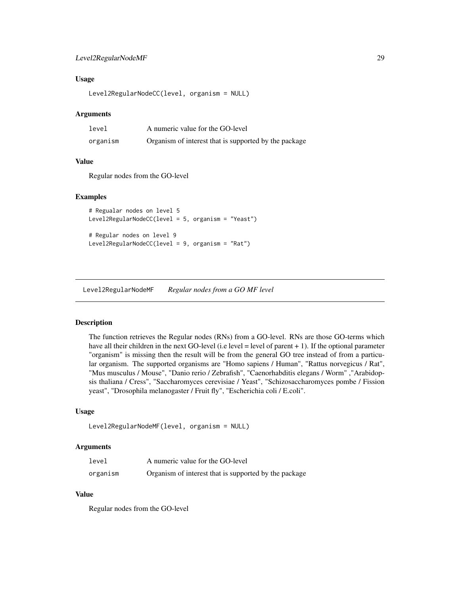# <span id="page-28-0"></span>Level2RegularNodeMF 29

# Usage

Level2RegularNodeCC(level, organism = NULL)

#### Arguments

| level    | A numeric value for the GO-level                      |
|----------|-------------------------------------------------------|
| organism | Organism of interest that is supported by the package |

# Value

Regular nodes from the GO-level

# Examples

```
# Regualar nodes on level 5
Level2RegularNodeCC(level = 5, organism = "Yeast")
# Regular nodes on level 9
```

```
Level2RegularNodeCC(level = 9, organism = "Rat")
```
Level2RegularNodeMF *Regular nodes from a GO MF level*

# **Description**

The function retrieves the Regular nodes (RNs) from a GO-level. RNs are those GO-terms which have all their children in the next GO-level (i.e level  $=$  level of parent  $+ 1$ ). If the optional parameter "organism" is missing then the result will be from the general GO tree instead of from a particular organism. The supported organisms are "Homo sapiens / Human", "Rattus norvegicus / Rat", "Mus musculus / Mouse", "Danio rerio / Zebrafish", "Caenorhabditis elegans / Worm" ,"Arabidopsis thaliana / Cress", "Saccharomyces cerevisiae / Yeast", "Schizosaccharomyces pombe / Fission yeast", "Drosophila melanogaster / Fruit fly", "Escherichia coli / E.coli".

# Usage

```
Level2RegularNodeMF(level, organism = NULL)
```
#### Arguments

| level    | A numeric value for the GO-level                      |
|----------|-------------------------------------------------------|
| organism | Organism of interest that is supported by the package |

### Value

Regular nodes from the GO-level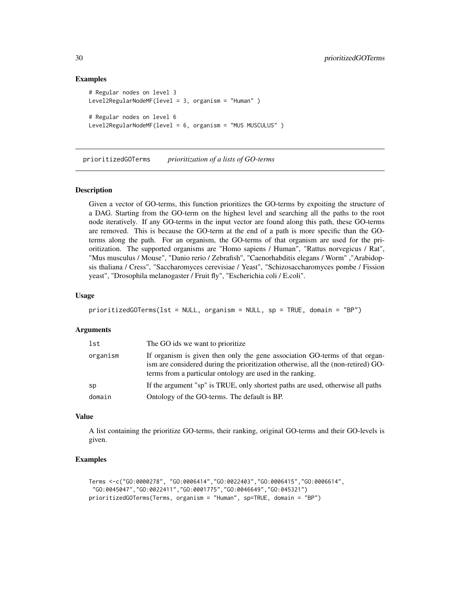# Examples

```
# Regular nodes on level 3
Level2RegularNodeMF(level = 3, organism = "Human" )
# Regular nodes on level 6
Level2RegularNodeMF(level = 6, organism = "MUS MUSCULUS" )
```
prioritizedGOTerms *prioritization of a lists of GO-terms*

# Description

Given a vector of GO-terms, this function prioritizes the GO-terms by expoiting the structure of a DAG. Starting from the GO-term on the highest level and searching all the paths to the root node iteratively. If any GO-terms in the input vector are found along this path, these GO-terms are removed. This is because the GO-term at the end of a path is more specific than the GOterms along the path. For an organism, the GO-terms of that organism are used for the prioritization. The supported organisms are "Homo sapiens / Human", "Rattus norvegicus / Rat", "Mus musculus / Mouse", "Danio rerio / Zebrafish", "Caenorhabditis elegans / Worm" ,"Arabidopsis thaliana / Cress", "Saccharomyces cerevisiae / Yeast", "Schizosaccharomyces pombe / Fission yeast", "Drosophila melanogaster / Fruit fly", "Escherichia coli / E.coli".

#### Usage

```
prioritizedGOTerms(lst = NULL, organism = NULL, sp = TRUE, domain = "BP")
```
#### **Arguments**

| lst      | The GO ids we want to prioritize.                                                                                                                                                                                             |
|----------|-------------------------------------------------------------------------------------------------------------------------------------------------------------------------------------------------------------------------------|
| organism | If organism is given then only the gene association GO-terms of that organ-<br>ism are considered during the prioritization otherwise, all the (non-retired) GO-<br>terms from a particular ontology are used in the ranking. |
| sp       | If the argument "sp" is TRUE, only shortest paths are used, otherwise all paths                                                                                                                                               |
| domain   | Ontology of the GO-terms. The default is BP.                                                                                                                                                                                  |

# Value

A list containing the prioritize GO-terms, their ranking, original GO-terms and their GO-levels is given.

```
Terms <-c("GO:0000278", "GO:0006414","GO:0022403","GO:0006415","GO:0006614",
 "GO:0045047","GO:0022411","GO:0001775","GO:0046649","GO:045321")
prioritizedGOTerms(Terms, organism = "Human", sp=TRUE, domain = "BP")
```
<span id="page-29-0"></span>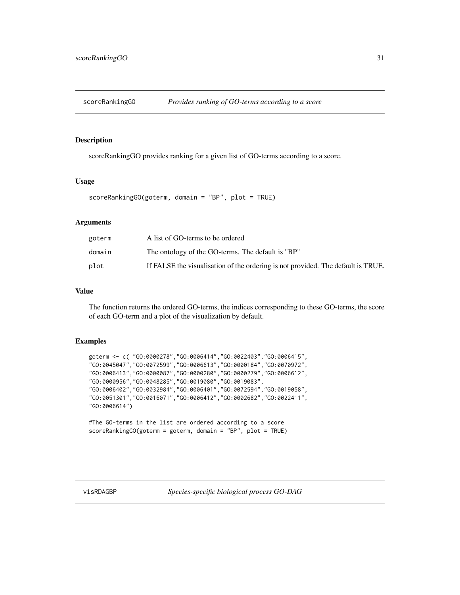<span id="page-30-0"></span>

scoreRankingGO provides ranking for a given list of GO-terms according to a score.

# Usage

scoreRankingGO(goterm, domain = "BP", plot = TRUE)

# Arguments

| goterm | A list of GO-terms to be ordered                                                 |
|--------|----------------------------------------------------------------------------------|
| domain | The ontology of the GO-terms. The default is "BP"                                |
| plot   | If FALSE the visualisation of the ordering is not provided. The default is TRUE. |

# Value

The function returns the ordered GO-terms, the indices corresponding to these GO-terms, the score of each GO-term and a plot of the visualization by default.

#### Examples

```
goterm <- c( "GO:0000278","GO:0006414","GO:0022403","GO:0006415",
"GO:0045047","GO:0072599","GO:0006613","GO:0000184","GO:0070972",
"GO:0006413","GO:0000087","GO:0000280","GO:0000279","GO:0006612",
"GO:0000956","GO:0048285","GO:0019080","GO:0019083",
"GO:0006402","GO:0032984","GO:0006401","GO:0072594","GO:0019058",
"GO:0051301","GO:0016071","GO:0006412","GO:0002682","GO:0022411",
"GO:0006614")
```

```
#The GO-terms in the list are ordered according to a score
scoreRankingGO(goterm = goterm, domain = "BP", plot = TRUE)
```
visRDAGBP *Species-specific biological process GO-DAG*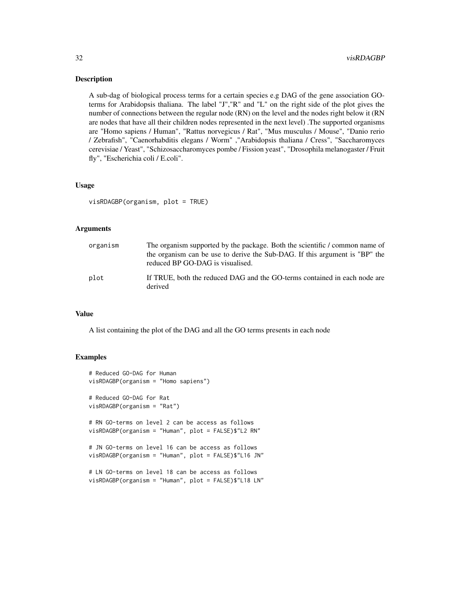A sub-dag of biological process terms for a certain species e.g DAG of the gene association GOterms for Arabidopsis thaliana. The label "J","R" and "L" on the right side of the plot gives the number of connections between the regular node (RN) on the level and the nodes right below it (RN are nodes that have all their children nodes represented in the next level) .The supported organisms are "Homo sapiens / Human", "Rattus norvegicus / Rat", "Mus musculus / Mouse", "Danio rerio / Zebrafish", "Caenorhabditis elegans / Worm" ,"Arabidopsis thaliana / Cress", "Saccharomyces cerevisiae / Yeast", "Schizosaccharomyces pombe / Fission yeast", "Drosophila melanogaster / Fruit fly", "Escherichia coli / E.coli".

#### Usage

visRDAGBP(organism, plot = TRUE)

#### **Arguments**

| organism | The organism supported by the package. Both the scientific / common name of<br>the organism can be use to derive the Sub-DAG. If this argument is "BP" the<br>reduced BP GO-DAG is visualised. |
|----------|------------------------------------------------------------------------------------------------------------------------------------------------------------------------------------------------|
| plot     | If TRUE, both the reduced DAG and the GO-terms contained in each node are<br>derived                                                                                                           |

# Value

A list containing the plot of the DAG and all the GO terms presents in each node

```
# Reduced GO-DAG for Human
visRDAGBP(organism = "Homo sapiens")
# Reduced GO-DAG for Rat
visRDAGBP(organism = "Rat")
# RN GO-terms on level 2 can be access as follows
visRDAGBP(organism = "Human", plot = FALSE)$"L2 RN"
# JN GO-terms on level 16 can be access as follows
visRDAGBP(organism = "Human", plot = FALSE)$"L16 JN"
# LN GO-terms on level 18 can be access as follows
visRDAGBP(organism = "Human", plot = FALSE)$"L18 LN"
```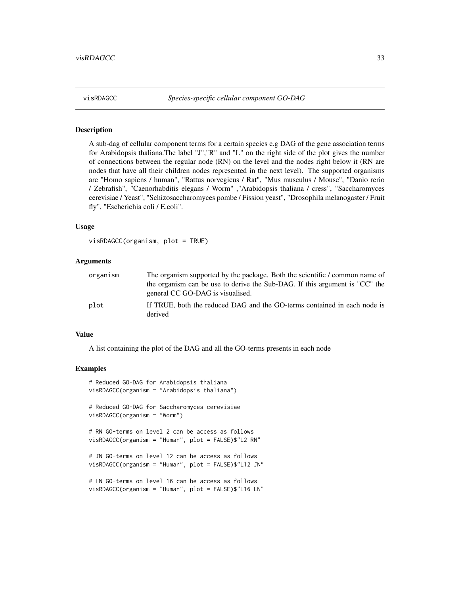<span id="page-32-0"></span>

A sub-dag of cellular component terms for a certain species e.g DAG of the gene association terms for Arabidopsis thaliana.The label "J","R" and "L" on the right side of the plot gives the number of connections between the regular node (RN) on the level and the nodes right below it (RN are nodes that have all their children nodes represented in the next level). The supported organisms are "Homo sapiens / human", "Rattus norvegicus / Rat", "Mus musculus / Mouse", "Danio rerio / Zebrafish", "Caenorhabditis elegans / Worm" ,"Arabidopsis thaliana / cress", "Saccharomyces cerevisiae / Yeast", "Schizosaccharomyces pombe / Fission yeast", "Drosophila melanogaster / Fruit fly", "Escherichia coli / E.coli".

# Usage

visRDAGCC(organism, plot = TRUE)

# Arguments

| organism | The organism supported by the package. Both the scientific / common name of         |
|----------|-------------------------------------------------------------------------------------|
|          | the organism can be use to derive the Sub-DAG. If this argument is "CC" the         |
|          | general CC GO-DAG is visualised.                                                    |
| plot     | If TRUE, both the reduced DAG and the GO-terms contained in each node is<br>derived |

#### Value

A list containing the plot of the DAG and all the GO-terms presents in each node

```
# Reduced GO-DAG for Arabidopsis thaliana
visRDAGCC(organism = "Arabidopsis thaliana")
# Reduced GO-DAG for Saccharomyces cerevisiae
visRDAGCC(organism = "Worm")
# RN GO-terms on level 2 can be access as follows
visRDAGCC(organism = "Human", plot = FALSE)$"L2 RN"
# JN GO-terms on level 12 can be access as follows
visRDAGCC(organism = "Human", plot = FALSE)$"L12 JN"
# LN GO-terms on level 16 can be access as follows
visRDAGCC(organism = "Human", plot = FALSE)$"L16 LN"
```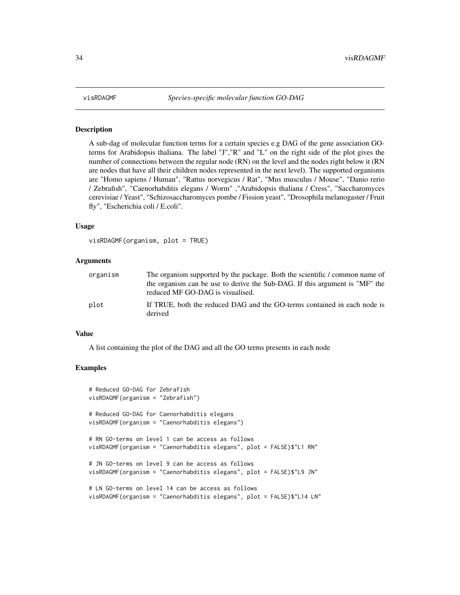A sub-dag of molecular function terms for a certain species e.g DAG of the gene association GOterms for Arabidopsis thaliana. The label "J","R" and "L" on the right side of the plot gives the number of connections between the regular node (RN) on the level and the nodes right below it (RN are nodes that have all their children nodes represented in the next level). The supported organisms are "Homo sapiens / Human", "Rattus norvegicus / Rat", "Mus musculus / Mouse", "Danio rerio / Zebrafish", "Caenorhabditis elegans / Worm" ,"Arabidopsis thaliana / Cress", "Saccharomyces cerevisiae / Yeast", "Schizosaccharomyces pombe / Fission yeast", "Drosophila melanogaster / Fruit fly", "Escherichia coli / E.coli".

# Usage

visRDAGMF(organism, plot = TRUE)

# Arguments

| organism | The organism supported by the package. Both the scientific / common name of<br>the organism can be use to derive the Sub-DAG. If this argument is "MF" the<br>reduced MF GO-DAG is visualised. |
|----------|------------------------------------------------------------------------------------------------------------------------------------------------------------------------------------------------|
| plot     | If TRUE, both the reduced DAG and the GO-terms contained in each node is<br>derived                                                                                                            |

#### Value

A list containing the plot of the DAG and all the GO terms presents in each node

```
# Reduced GO-DAG for Zebrafish
visRDAGMF(organism = "Zebrafish")
# Reduced GO-DAG for Caenorhabditis elegans
visRDAGMF(organism = "Caenorhabditis elegans")
# RN GO-terms on level 1 can be access as follows
visRDAGMF(organism = "Caenorhabditis elegans", plot = FALSE)$"L1 RN"
# JN GO-terms on level 9 can be access as follows
visRDAGMF(organism = "Caenorhabditis elegans", plot = FALSE)$"L9 JN"
# LN GO-terms on level 14 can be access as follows
visRDAGMF(organism = "Caenorhabditis elegans", plot = FALSE)$"L14 LN"
```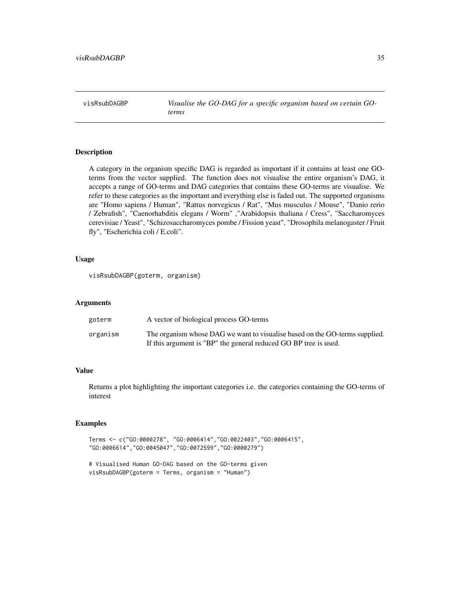<span id="page-34-0"></span>visRsubDAGBP *Visualise the GO-DAG for a specific organism based on certain GOterms*

# Description

A category in the organism specific DAG is regarded as important if it contains at least one GOterms from the vector supplied. The function does not visualise the entire organism's DAG, it accepts a range of GO-terms and DAG categories that contains these GO-terms are visualise. We refer to these categories as the important and everything else is faded out. The supported organisms are "Homo sapiens / Human", "Rattus norvegicus / Rat", "Mus musculus / Mouse", "Danio rerio / Zebrafish", "Caenorhabditis elegans / Worm" ,"Arabidopsis thaliana / Cress", "Saccharomyces cerevisiae / Yeast", "Schizosaccharomyces pombe / Fission yeast", "Drosophila melanogaster / Fruit fly", "Escherichia coli / E.coli".

# Usage

visRsubDAGBP(goterm, organism)

#### Arguments

| goterm   | A vector of biological process GO-terms                                                                                                         |
|----------|-------------------------------------------------------------------------------------------------------------------------------------------------|
| organism | The organism whose DAG we want to visualise based on the GO-terms supplied.<br>If this argument is "BP" the general reduced GO BP tree is used. |

# Value

Returns a plot highlighting the important categories i.e. the categories containing the GO-terms of interest

```
Terms <- c("GO:0000278", "GO:0006414","GO:0022403","GO:0006415",
"GO:0006614","GO:0045047","GO:0072599","GO:0000279")
```

```
# Visualised Human GO-DAG based on the GO-terms given
visRsubDAGBP(goterm = Terms, organism = "Human")
```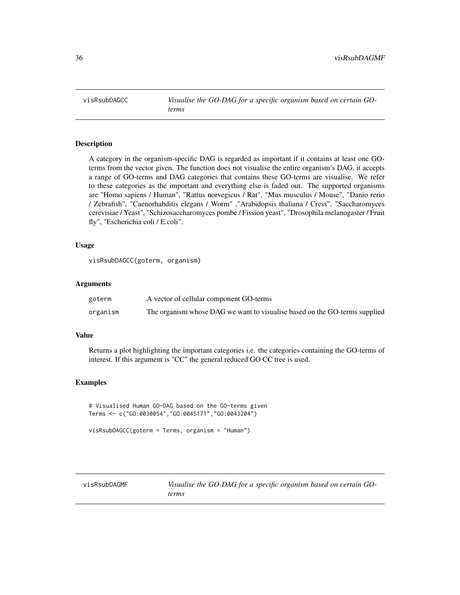<span id="page-35-0"></span>visRsubDAGCC *Visualise the GO-DAG for a specific organism based on certain GOterms*

# Description

A category in the organism-specific DAG is regarded as important if it contains at least one GOterms from the vector given. The function does not visualise the entire organism's DAG, it accepts a range of GO-terms and DAG categories that contains these GO-terms are visualise. We refer to these categories as the important and everything else is faded out. The supported organisms are "Homo sapiens / Human", "Rattus norvegicus / Rat", "Mus musculus / Mouse", "Danio rerio / Zebrafish", "Caenorhabditis elegans / Worm" ,"Arabidopsis thaliana / Cress", "Saccharomyces cerevisiae / Yeast", "Schizosaccharomyces pombe / Fission yeast", "Drosophila melanogaster / Fruit fly", "Escherichia coli / E.coli".

# Usage

visRsubDAGCC(goterm, organism)

# Arguments

| goterm   | A vector of cellular component GO-terms                                    |
|----------|----------------------------------------------------------------------------|
| organism | The organism whose DAG we want to visualise based on the GO-terms supplied |

#### Value

Returns a plot highlighting the important categories i.e. the categories containing the GO-terms of interest. If this argument is "CC" the general reduced GO CC tree is used.

### Examples

# Visualised Human GO-DAG based on the GO-terms given Terms <- c("GO:0030054","GO:0045171","GO:0043204")

visRsubDAGCC(goterm = Terms, organism = "Human")

visRsubDAGMF *Visualise the GO-DAG for a specific organism based on certain GOterms*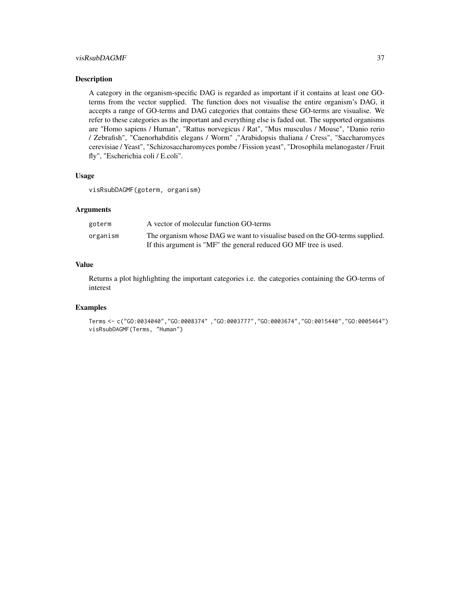# $visRsubDAGMF$  37

#### Description

A category in the organism-specific DAG is regarded as important if it contains at least one GOterms from the vector supplied. The function does not visualise the entire organism's DAG, it accepts a range of GO-terms and DAG categories that contains these GO-terms are visualise. We refer to these categories as the important and everything else is faded out. The supported organisms are "Homo sapiens / Human", "Rattus norvegicus / Rat", "Mus musculus / Mouse", "Danio rerio / Zebrafish", "Caenorhabditis elegans / Worm" ,"Arabidopsis thaliana / Cress", "Saccharomyces cerevisiae / Yeast", "Schizosaccharomyces pombe / Fission yeast", "Drosophila melanogaster / Fruit fly", "Escherichia coli / E.coli".

#### Usage

visRsubDAGMF(goterm, organism)

#### Arguments

| goterm   | A vector of molecular function GO-terms                                     |
|----------|-----------------------------------------------------------------------------|
| organism | The organism whose DAG we want to visualise based on the GO-terms supplied. |
|          | If this argument is "MF" the general reduced GO MF tree is used.            |

# Value

Returns a plot highlighting the important categories i.e. the categories containing the GO-terms of interest

```
Terms <- c("GO:0034040","GO:0008374" ,"GO:0003777","GO:0003674","GO:0015440","GO:0005464")
visRsubDAGMF(Terms, "Human")
```